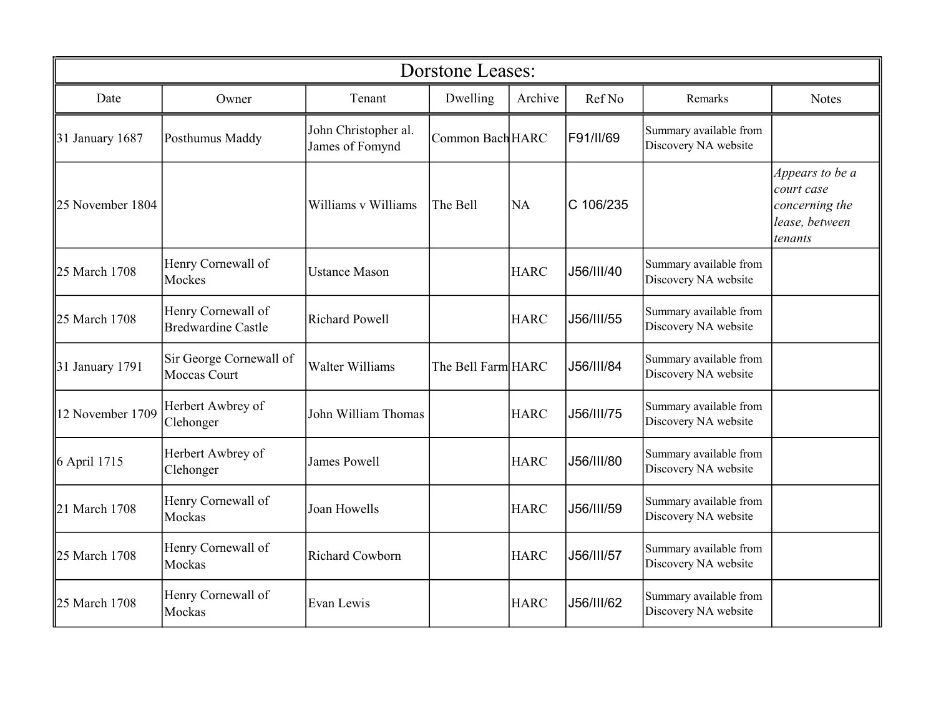| <b>Dorstone Leases:</b> |                                                 |                                         |                    |             |            |                                                |                                                                              |  |
|-------------------------|-------------------------------------------------|-----------------------------------------|--------------------|-------------|------------|------------------------------------------------|------------------------------------------------------------------------------|--|
| Date                    | Owner                                           | Tenant                                  | Dwelling           | Archive     | Ref No     | Remarks                                        | <b>Notes</b>                                                                 |  |
| 31 January $1687$       | Posthumus Maddy                                 | John Christopher al.<br>James of Fomynd | Common Bach HARC   |             | F91/II/69  | Summary available from<br>Discovery NA website |                                                                              |  |
| 25 November 1804        |                                                 | Williams v Williams                     | The Bell           | <b>NA</b>   | C 106/235  |                                                | Appears to be a<br>court case<br>concerning the<br>lease, between<br>tenants |  |
| 25 March 1708           | Henry Cornewall of<br>Mockes                    | <b>Ustance Mason</b>                    |                    | <b>HARC</b> | J56/III/40 | Summary available from<br>Discovery NA website |                                                                              |  |
| 25 March 1708           | Henry Cornewall of<br><b>Bredwardine Castle</b> | <b>Richard Powell</b>                   |                    | <b>HARC</b> | J56/III/55 | Summary available from<br>Discovery NA website |                                                                              |  |
| $31$ January 1791       | Sir George Cornewall of<br>Moccas Court         | <b>Walter Williams</b>                  | The Bell Farm HARC |             | J56/III/84 | Summary available from<br>Discovery NA website |                                                                              |  |
| 12 November 1709        | Herbert Awbrey of<br>Clehonger                  | John William Thomas                     |                    | <b>HARC</b> | J56/III/75 | Summary available from<br>Discovery NA website |                                                                              |  |
| 6 April 1715            | Herbert Awbrey of<br>Clehonger                  | <b>James Powell</b>                     |                    | <b>HARC</b> | J56/III/80 | Summary available from<br>Discovery NA website |                                                                              |  |
| 21 March 1708           | Henry Cornewall of<br>Mockas                    | Joan Howells                            |                    | <b>HARC</b> | J56/III/59 | Summary available from<br>Discovery NA website |                                                                              |  |
| 25 March 1708           | Henry Cornewall of<br>Mockas                    | Richard Cowborn                         |                    | <b>HARC</b> | J56/III/57 | Summary available from<br>Discovery NA website |                                                                              |  |
| 25 March 1708           | Henry Cornewall of<br>Mockas                    | Evan Lewis                              |                    | <b>HARC</b> | J56/III/62 | Summary available from<br>Discovery NA website |                                                                              |  |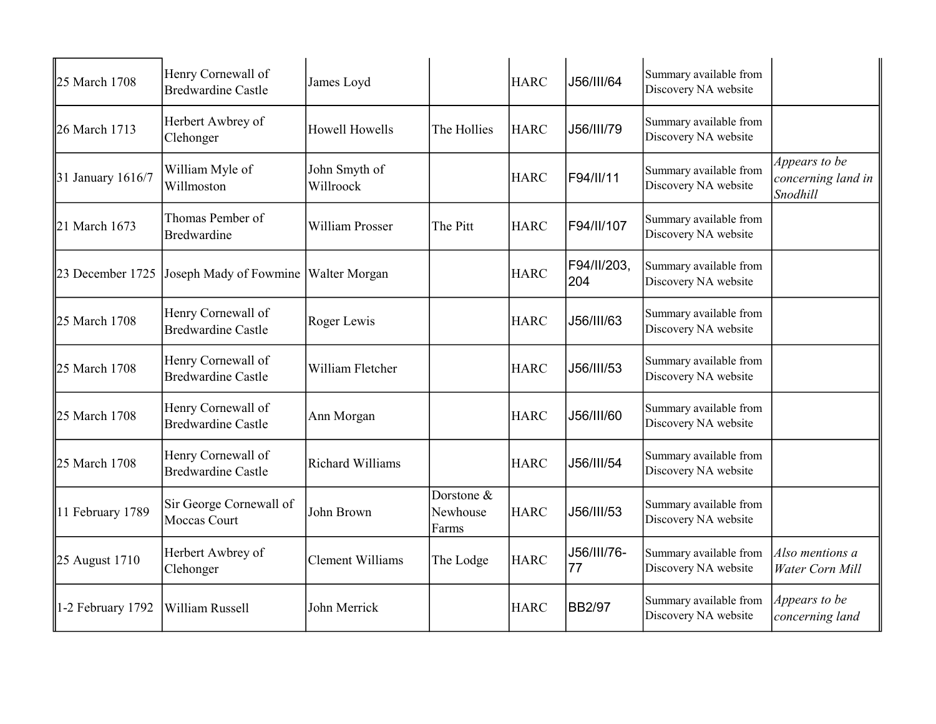| 25 March 1708          | Henry Cornewall of<br><b>Bredwardine Castle</b> | James Loyd                 |                                 | <b>HARC</b> | J56/III/64         | Summary available from<br>Discovery NA website |                                                 |
|------------------------|-------------------------------------------------|----------------------------|---------------------------------|-------------|--------------------|------------------------------------------------|-------------------------------------------------|
| 26 March 1713          | Herbert Awbrey of<br>Clehonger                  | <b>Howell Howells</b>      | The Hollies                     | <b>HARC</b> | J56/III/79         | Summary available from<br>Discovery NA website |                                                 |
| 31 January $1616/7$    | William Myle of<br>Willmoston                   | John Smyth of<br>Willroock |                                 | <b>HARC</b> | F94/II/11          | Summary available from<br>Discovery NA website | Appears to be<br>concerning land in<br>Snodhill |
| 21 March 1673          | Thomas Pember of<br>Bredwardine                 | William Prosser            | The Pitt                        | <b>HARC</b> | F94/II/107         | Summary available from<br>Discovery NA website |                                                 |
| 23 December 1725       | Joseph Mady of Fowmine                          | <b>Walter Morgan</b>       |                                 | <b>HARC</b> | F94/II/203,<br>204 | Summary available from<br>Discovery NA website |                                                 |
| 25 March 1708          | Henry Cornewall of<br><b>Bredwardine Castle</b> | Roger Lewis                |                                 | <b>HARC</b> | J56/III/63         | Summary available from<br>Discovery NA website |                                                 |
| 25 March 1708          | Henry Cornewall of<br><b>Bredwardine Castle</b> | William Fletcher           |                                 | <b>HARC</b> | J56/III/53         | Summary available from<br>Discovery NA website |                                                 |
| 25 March 1708          | Henry Cornewall of<br><b>Bredwardine Castle</b> | Ann Morgan                 |                                 | <b>HARC</b> | J56/III/60         | Summary available from<br>Discovery NA website |                                                 |
| 25 March 1708          | Henry Cornewall of<br><b>Bredwardine Castle</b> | Richard Williams           |                                 | <b>HARC</b> | J56/III/54         | Summary available from<br>Discovery NA website |                                                 |
| 11 February 1789       | Sir George Cornewall of<br><b>Moccas Court</b>  | John Brown                 | Dorstone &<br>Newhouse<br>Farms | <b>HARC</b> | J56/III/53         | Summary available from<br>Discovery NA website |                                                 |
| $\vert$ 25 August 1710 | Herbert Awbrey of<br>Clehonger                  | <b>Clement Williams</b>    | The Lodge                       | <b>HARC</b> | J56/III/76-<br>77  | Summary available from<br>Discovery NA website | Also mentions a<br>Water Corn Mill              |
| 1-2 February 1792      | William Russell                                 | John Merrick               |                                 | <b>HARC</b> | <b>BB2/97</b>      | Summary available from<br>Discovery NA website | Appears to be<br>concerning land                |